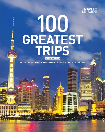

## 100 **GREATEST**<br>TRIPS **SIXTH EDITION**

FROM THE EDITORS OF THE WORLD'S LEADING TRAVEL MAGAZINE

a<br>En